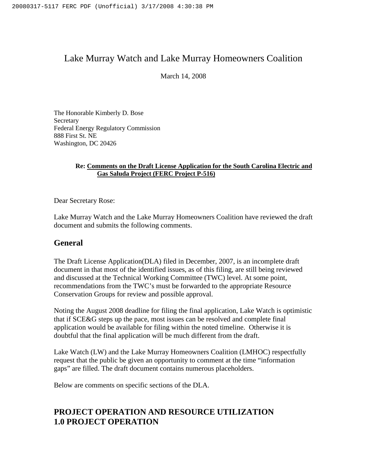## Lake Murray Watch and Lake Murray Homeowners Coalition

March 14, 2008

The Honorable Kimberly D. Bose **Secretary** Federal Energy Regulatory Commission 888 First St. NE Washington, DC 20426

#### **Re: Comments on the Draft License Application for the South Carolina Electric and Gas Saluda Project (FERC Project P-516)**

Dear Secretary Rose:

Lake Murray Watch and the Lake Murray Homeowners Coalition have reviewed the draft document and submits the following comments.

## **General**

The Draft License Application(DLA) filed in December, 2007, is an incomplete draft document in that most of the identified issues, as of this filing, are still being reviewed and discussed at the Technical Working Committee (TWC) level. At some point, recommendations from the TWC's must be forwarded to the appropriate Resource Conservation Groups for review and possible approval.

Noting the August 2008 deadline for filing the final application, Lake Watch is optimistic that if SCE&G steps up the pace, most issues can be resolved and complete final application would be available for filing within the noted timeline. Otherwise it is doubtful that the final application will be much different from the draft.

Lake Watch (LW) and the Lake Murray Homeowners Coalition (LMHOC) respectfully request that the public be given an opportunity to comment at the time "information gaps" are filled. The draft document contains numerous placeholders.

Below are comments on specific sections of the DLA.

## **PROJECT OPERATION AND RESOURCE UTILIZATION 1.0 PROJECT OPERATION**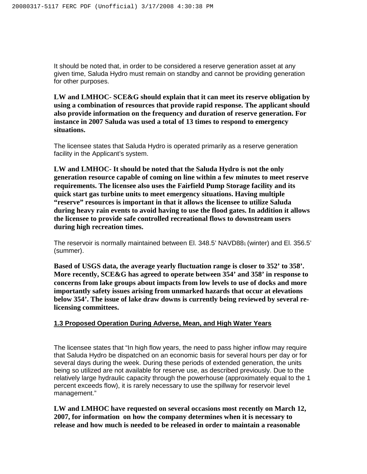It should be noted that, in order to be considered a reserve generation asset at any given time, Saluda Hydro must remain on standby and cannot be providing generation for other purposes.

**LW and LMHOC- SCE&G should explain that it can meet its reserve obligation by using a combination of resources that provide rapid response. The applicant should also provide information on the frequency and duration of reserve generation. For instance in 2007 Saluda was used a total of 13 times to respond to emergency situations.**

The licensee states that Saluda Hydro is operated primarily as a reserve generation facility in the Applicant's system.

**LW and LMHOC- It should be noted that the Saluda Hydro is not the only generation resource capable of coming on line within a few minutes to meet reserve requirements. The licensee also uses the Fairfield Pump Storage facility and its quick start gas turbine units to meet emergency situations. Having multiple "reserve" resources is important in that it allows the licensee to utilize Saluda during heavy rain events to avoid having to use the flood gates. In addition it allows the licensee to provide safe controlled recreational flows to downstream users during high recreation times.**

The reservoir is normally maintained between El. 348.5' NAVD881 (winter) and El. 356.5' (summer).

**Based of USGS data, the average yearly fluctuation range is closer to 352' to 358'. More recently, SCE&G has agreed to operate between 354' and 358' in response to concerns from lake groups about impacts from low levels to use of docks and more importantly safety issues arising from unmarked hazards that occur at elevations below 354'. The issue of lake draw downs is currently being reviewed by several relicensing committees.**

#### **1.3 Proposed Operation During Adverse, Mean, and High Water Years**

The licensee states that "In high flow years, the need to pass higher inflow may require that Saluda Hydro be dispatched on an economic basis for several hours per day or for several days during the week. During these periods of extended generation, the units being so utilized are not available for reserve use, as described previously. Due to the relatively large hydraulic capacity through the powerhouse (approximately equal to the 1 percent exceeds flow), it is rarely necessary to use the spillway for reservoir level management."

**LW and LMHOC have requested on several occasions most recently on March 12, 2007, for information on how the company determines when it is necessary to release and how much is needed to be released in order to maintain a reasonable**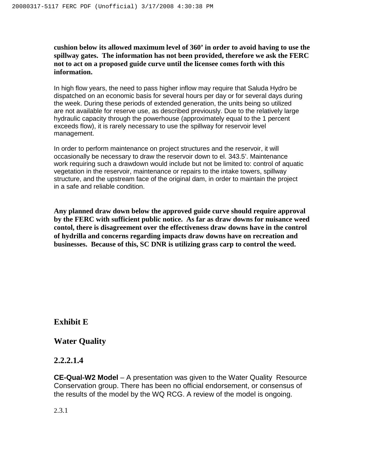**cushion below its allowed maximum level of 360' in order to avoid having to use the spillway gates. The information has not been provided, therefore we ask the FERC not to act on a proposed guide curve until the licensee comes forth with this information.**

In high flow years, the need to pass higher inflow may require that Saluda Hydro be dispatched on an economic basis for several hours per day or for several days during the week. During these periods of extended generation, the units being so utilized are not available for reserve use, as described previously. Due to the relatively large hydraulic capacity through the powerhouse (approximately equal to the 1 percent exceeds flow), it is rarely necessary to use the spillway for reservoir level management.

In order to perform maintenance on project structures and the reservoir, it will occasionally be necessary to draw the reservoir down to el. 343.5'. Maintenance work requiring such a drawdown would include but not be limited to: control of aquatic vegetation in the reservoir, maintenance or repairs to the intake towers, spillway structure, and the upstream face of the original dam, in order to maintain the project in a safe and reliable condition.

**Any planned draw down below the approved guide curve should require approval by the FERC with sufficient public notice. As far as draw downs for nuisance weed contol, there is disagreement over the effectiveness draw downs have in the control of hydrilla and concerns regarding impacts draw downs have on recreation and businesses. Because of this, SC DNR is utilizing grass carp to control the weed.**

## **Exhibit E**

#### **Water Quality**

#### **2.2.2.1.4**

**CE-Qual-W2 Model** – A presentation was given to the Water Quality Resource Conservation group. There has been no official endorsement, or consensus of the results of the model by the WQ RCG. A review of the model is ongoing.

2.3.1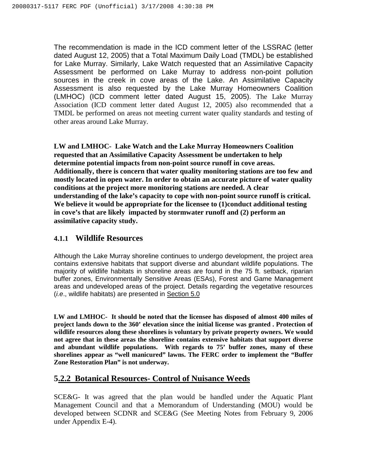The recommendation is made in the ICD comment letter of the LSSRAC (letter dated August 12, 2005) that a Total Maximum Daily Load (TMDL) be established for Lake Murray. Similarly, Lake Watch requested that an Assimilative Capacity Assessment be performed on Lake Murray to address non-point pollution sources in the creek in cove areas of the Lake. An Assimilative Capacity Assessment is also requested by the Lake Murray Homeowners Coalition (LMHOC) (ICD comment letter dated August 15, 2005). The Lake Murray Association (ICD comment letter dated August 12, 2005) also recommended that a TMDL be performed on areas not meeting current water quality standards and testing of other areas around Lake Murray.

**LW and LMHOC- Lake Watch and the Lake Murray Homeowners Coalition requested that an Assimilative Capacity Assessment be undertaken to help determine potential impacts from non-point source runoff in cove areas. Additionally, there is concern that water quality monitoring stations are too few and mostly located in open water. In order to obtain an accurate picture of water quality conditions at the project more monitoring stations are needed. A clear understanding of the lake's capacity to cope with non-point source runoff is critical. We believe it would be appropriate for the licensee to (1)conduct additional testing in cove's that are likely impacted by stormwater runoff and (2) perform an assimilative capacity study.**

## **4.1.1 Wildlife Resources**

Although the Lake Murray shoreline continues to undergo development, the project area contains extensive habitats that support diverse and abundant wildlife populations. The majority of wildlife habitats in shoreline areas are found in the 75 ft. setback, riparian buffer zones, Environmentally Sensitive Areas (ESAs), Forest and Game Management areas and undeveloped areas of the project. Details regarding the vegetative resources (i.e., wildlife habitats) are presented in Section 5.0

**LW and LMHOC- It should be noted that the licensee has disposed of almost 400 miles of project lands down to the 360' elevation since the initial license was granted . Protection of wildlife resources along these shorelines is voluntary by private property owners. We would not agree that in these areas the shoreline contains extensive habitats that support diverse and abundant wildlife populations. With regards to 75' buffer zones, many of these shorelines appear as "well manicured" lawns. The FERC order to implement the "Buffer Zone Restoration Plan" is not underway.**

## **5.2.2 Botanical Resources- Control of Nuisance Weeds**

SCE&G- It was agreed that the plan would be handled under the Aquatic Plant Management Council and that a Memorandum of Understanding (MOU) would be developed between SCDNR and SCE&G (See Meeting Notes from February 9, 2006 under Appendix E-4).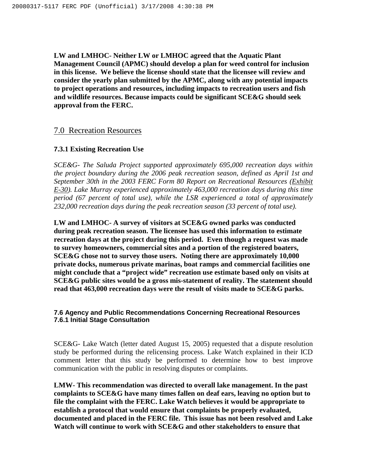**LW and LMHOC- Neither LW or LMHOC agreed that the Aquatic Plant Management Council (APMC) should develop a plan for weed control for inclusion in this license. We believe the license should state that the licensee will review and consider the yearly plan submitted by the APMC, along with any potential impacts to project operations and resources, including impacts to recreation users and fish and wildlife resources. Because impacts could be significant SCE&G should seek approval from the FERC.**

### 7.0 Recreation Resources

#### **7.3.1 Existing Recreation Use**

*SCE&G- The Saluda Project supported approximately 695,000 recreation days within the project boundary during the 2006 peak recreation season, defined as April 1st and September 30th in the 2003 FERC Form 80 Report on Recreational Resources (Exhibit E-30). Lake Murray experienced approximately 463,000 recreation days during this time period (67 percent of total use), while the LSR experienced a total of approximately 232,000 recreation days during the peak recreation season (33 percent of total use).*

**LW and LMHOC- A survey of visitors at SCE&G owned parks was conducted during peak recreation season. The licensee has used this information to estimate recreation days at the project during this period. Even though a request was made to survey homeowners, commercial sites and a portion of the registered boaters, SCE&G chose not to survey those users. Noting there are approximately 10,000 private docks, numerous private marinas, boat ramps and commercial facilities one might conclude that a "project wide" recreation use estimate based only on visits at SCE&G public sites would be a gross mis-statement of reality. The statement should read that 463,000 recreation days were the result of visits made to SCE&G parks.**

#### **7.6 Agency and Public Recommendations Concerning Recreational Resources 7.6.1 Initial Stage Consultation**

SCE&G- Lake Watch (letter dated August 15, 2005) requested that a dispute resolution study be performed during the relicensing process. Lake Watch explained in their ICD comment letter that this study be performed to determine how to best improve communication with the public in resolving disputes or complaints.

**LMW- This recommendation was directed to overall lake management. In the past complaints to SCE&G have many times fallen on deaf ears, leaving no option but to file the complaint with the FERC. Lake Watch believes it would be appropriate to establish a protocol that would ensure that complaints be properly evaluated, documented and placed in the FERC file. This issue has not been resolved and Lake Watch will continue to work with SCE&G and other stakeholders to ensure that**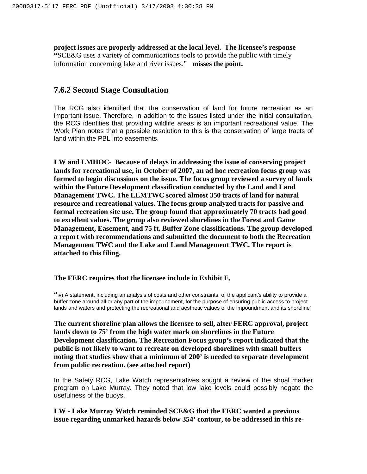**project issues are properly addressed at the local level. The licensee's response "**SCE&G uses a variety of communications tools to provide the public with timely information concerning lake and river issues." **misses the point.**

### **7.6.2 Second Stage Consultation**

The RCG also identified that the conservation of land for future recreation as an important issue. Therefore, in addition to the issues listed under the initial consultation, the RCG identifies that providing wildlife areas is an important recreational value. The Work Plan notes that a possible resolution to this is the conservation of large tracts of land within the PBL into easements.

**LW and LMHOC- Because of delays in addressing the issue of conserving project lands for recreational use, in October of 2007, an ad hoc recreation focus group was formed to begin discussions on the issue. The focus group reviewed a survey of lands within the Future Development classification conducted by the Land and Land Management TWC. The LLMTWC scored almost 350 tracts of land for natural resource and recreational values. The focus group analyzed tracts for passive and formal recreation site use. The group found that approximately 70 tracts had good to excellent values. The group also reviewed shorelines in the Forest and Game Management, Easement, and 75 ft. Buffer Zone classifications. The group developed a report with recommendations and submitted the document to both the Recreation Management TWC and the Lake and Land Management TWC. The report is attached to this filing.**

**The FERC requires that the licensee include in Exhibit E,**

**"**iv) A statement, including an analysis of costs and other constraints, of the applicant's ability to provide a buffer zone around all or any part of the impoundment, for the purpose of ensuring public access to project lands and waters and protecting the recreational and aesthetic values of the impoundment and its shoreline"

**The current shoreline plan allows the licensee to sell, after FERC approval, project lands down to 75' from the high water mark on shorelines in the Future Development classification. The Recreation Focus group's report indicated that the public is not likely to want to recreate on developed shorelines with small buffers noting that studies show that a minimum of 200' is needed to separate development from public recreation. (see attached report)**

In the Safety RCG, Lake Watch representatives sought a review of the shoal marker program on Lake Murray. They noted that low lake levels could possibly negate the usefulness of the buoys.

**LW - Lake Murray Watch reminded SCE&G that the FERC wanted a previous issue regarding unmarked hazards below 354' contour, to be addressed in this re-**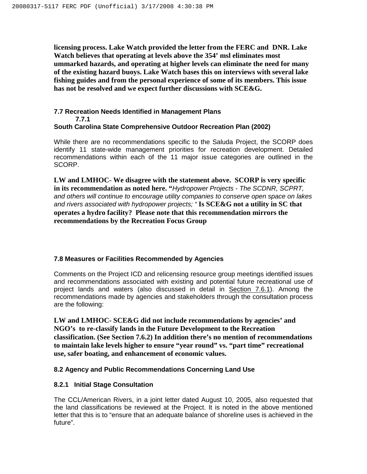**licensing process. Lake Watch provided the letter from the FERC and DNR. Lake Watch believes that operating at levels above the 354' msl eliminates most ummarked hazards, and operating at higher levels can eliminate the need for many of the existing hazard buoys. Lake Watch bases this on interviews with several lake fishing guides and from the personal experience of some of its members. This issue has not be resolved and we expect further discussions with SCE&G.**

#### **7.7 Recreation Needs Identified in Management Plans 7.7.1 South Carolina State Comprehensive Outdoor Recreation Plan (2002)**

While there are no recommendations specific to the Saluda Project, the SCORP does identify 11 state-wide management priorities for recreation development. Detailed recommendations within each of the 11 major issue categories are outlined in the SCORP.

**LW and LMHOC- We disagree with the statement above. SCORP is very specific in its recommendation as noted here. "**Hydropower Projects - The SCDNR, SCPRT, and others will continue to encourage utility companies to conserve open space on lakes and rivers associated with hydropower projects; " **Is SCE&G not a utility in SC that operates a hydro facility? Please note that this recommendation mirrors the recommendations by the Recreation Focus Group**

#### **7.8 Measures or Facilities Recommended by Agencies**

Comments on the Project ICD and relicensing resource group meetings identified issues and recommendations associated with existing and potential future recreational use of project lands and waters (also discussed in detail in Section 7.6.1). Among the recommendations made by agencies and stakeholders through the consultation process are the following:

**LW and LMHOC- SCE&G did not include recommendations by agencies' and NGO's to re-classify lands in the Future Development to the Recreation classification. (See Section 7.6.2) In addition there's no mention of recommendations to maintain lake levels higher to ensure "year round" vs. "part time" recreational use, safer boating, and enhancement of economic values.**

#### **8.2 Agency and Public Recommendations Concerning Land Use**

#### **8.2.1 Initial Stage Consultation**

The CCL/American Rivers, in a joint letter dated August 10, 2005, also requested that the land classifications be reviewed at the Project. It is noted in the above mentioned letter that this is to "ensure that an adequate balance of shoreline uses is achieved in the future".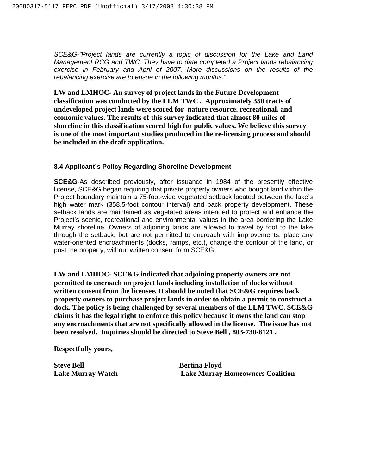SCE&G-"Project lands are currently a topic of discussion for the Lake and Land Management RCG and TWC. They have to date completed a Project lands rebalancing exercise in February and April of 2007. More discussions on the results of the rebalancing exercise are to ensue in the following months."

**LW and LMHOC- An survey of project lands in the Future Development classification was conducted by the LLM TWC . Approximately 350 tracts of undeveloped project lands were scored for nature resource, recreational, and economic values. The results of this survey indicated that almost 80 miles of shoreline in this classification scored high for public values. We believe this survey is one of the most important studies produced in the re-licensing process and should be included in the draft application.**

#### **8.4 Applicant's Policy Regarding Shoreline Development**

**SCE&G**-As described previously, after issuance in 1984 of the presently effective license, SCE&G began requiring that private property owners who bought land within the Project boundary maintain a 75-foot-wide vegetated setback located between the lake's high water mark (358.5-foot contour interval) and back property development. These setback lands are maintained as vegetated areas intended to protect and enhance the Project's scenic, recreational and environmental values in the area bordering the Lake Murray shoreline. Owners of adjoining lands are allowed to travel by foot to the lake through the setback, but are not permitted to encroach with improvements, place any water-oriented encroachments (docks, ramps, etc.), change the contour of the land, or post the property, without written consent from SCE&G.

**LW and LMHOC- SCE&G indicated that adjoining property owners are not permitted to encroach on project lands including installation of docks without written consent from the licensee. It should be noted that SCE&G requires back property owners to purchase project lands in order to obtain a permit to construct a dock. The policy is being challenged by several members of the LLM TWC. SCE&G claims it has the legal right to enforce this policy because it owns the land can stop any encroachments that are not specifically allowed in the license. The issue has not been resolved. Inquiries should be directed to Steve Bell , 803-730-8121 .**

**Respectfully yours,**

**Steve Bell Bertina Floyd**

**Lake Murray Watch Lake Murray Homeowners Coalition**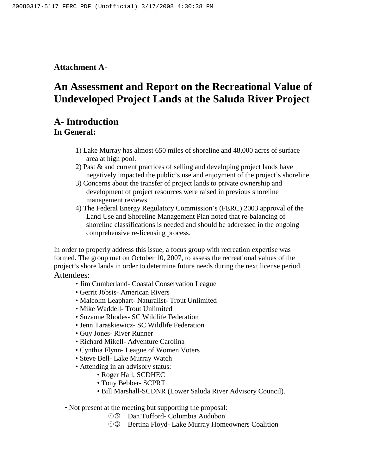## **Attachment A-**

# **An Assessment and Report on the Recreational Value of Undeveloped Project Lands at the Saluda River Project**

## **A- Introduction**

**In General:**

- 1) Lake Murray has almost 650 miles of shoreline and 48,000 acres of surface area at high pool.
- 2) Past & and current practices of selling and developing project lands have negatively impacted the public's use and enjoyment of the project's shoreline.
- 3) Concerns about the transfer of project lands to private ownership and development of project resources were raised in previous shoreline management reviews.
- 4) The Federal Energy Regulatory Commission's (FERC) 2003 approval of the Land Use and Shoreline Management Plan noted that re-balancing of shoreline classifications is needed and should be addressed in the ongoing comprehensive re-licensing process.

In order to properly address this issue, a focus group with recreation expertise was formed. The group met on October 10, 2007, to assess the recreational values of the project's shore lands in order to determine future needs during the next license period. Attendees:

- Jim Cumberland- Coastal Conservation League
- Gerrit Jöbsis- American Rivers
- Malcolm Leaphart- Naturalist- Trout Unlimited
- Mike Waddell- Trout Unlimited
- Suzanne Rhodes- SC Wildlife Federation
- Jenn Taraskiewicz- SC Wildlife Federation
- Guy Jones- River Runner
- Richard Mikell- Adventure Carolina
- Cynthia Flynn- League of Women Voters
- Steve Bell- Lake Murray Watch
- Attending in an advisory status:
	- Roger Hall, SCDHEC
	- Tony Bebber- SCPRT
	- Bill Marshall-SCDNR (Lower Saluda River Advisory Council).
- Not present at the meeting but supporting the proposal:
	- **JO** Dan Tufford- Columbia Audubon
	- **33** Bertina Floyd- Lake Murray Homeowners Coalition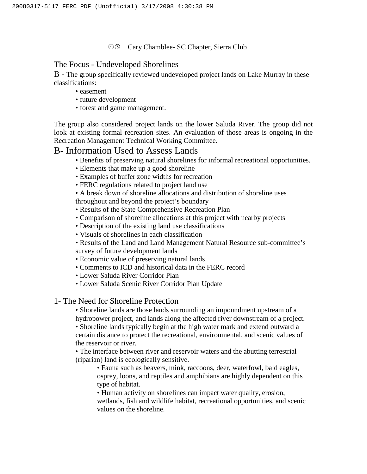#### **<sup>
O</sup>
3** Cary Chamblee- SC Chapter, Sierra Club

### The Focus - Undeveloped Shorelines

B - The group specifically reviewed undeveloped project lands on Lake Murray in these classifications:

- easement
- future development
- forest and game management.

The group also considered project lands on the lower Saluda River. The group did not look at existing formal recreation sites. An evaluation of those areas is ongoing in the Recreation Management Technical Working Committee.

## B- Information Used to Assess Lands

- Benefits of preserving natural shorelines for informal recreational opportunities.
- Elements that make up a good shoreline
- Examples of buffer zone widths for recreation
- FERC regulations related to project land use

• A break down of shoreline allocations and distribution of shoreline uses throughout and beyond the project's boundary

- Results of the State Comprehensive Recreation Plan
- Comparison of shoreline allocations at this project with nearby projects
- Description of the existing land use classifications
- Visuals of shorelines in each classification
- Results of the Land and Land Management Natural Resource sub-committee's survey of future development lands
- Economic value of preserving natural lands
- Comments to ICD and historical data in the FERC record
- Lower Saluda River Corridor Plan
- Lower Saluda Scenic River Corridor Plan Update

#### 1- The Need for Shoreline Protection

• Shoreline lands are those lands surrounding an impoundment upstream of a hydropower project, and lands along the affected river downstream of a project.

• Shoreline lands typically begin at the high water mark and extend outward a certain distance to protect the recreational, environmental, and scenic values of the reservoir or river.

• The interface between river and reservoir waters and the abutting terrestrial (riparian) land is ecologically sensitive.

• Fauna such as beavers, mink, raccoons, deer, waterfowl, bald eagles, osprey, loons, and reptiles and amphibians are highly dependent on this type of habitat.

• Human activity on shorelines can impact water quality, erosion, wetlands, fish and wildlife habitat, recreational opportunities, and scenic values on the shoreline.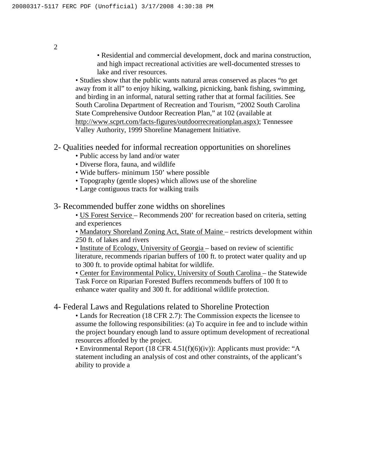• Residential and commercial development, dock and marina construction, and high impact recreational activities are well-documented stresses to lake and river resources.

• Studies show that the public wants natural areas conserved as places "to get away from it all" to enjoy hiking, walking, picnicking, bank fishing, swimming, and birding in an informal, natural setting rather that at formal facilities. See South Carolina Department of Recreation and Tourism, "2002 South Carolina State Comprehensive Outdoor Recreation Plan," at 102 (available at http://www.scprt.com/facts-figures/outdoorrecreationplan.aspx); Tennessee Valley Authority, 1999 Shoreline Management Initiative.

- 2- Qualities needed for informal recreation opportunities on shorelines
	- Public access by land and/or water
	- Diverse flora, fauna, and wildlife
	- Wide buffers- minimum 150' where possible
	- Topography (gentle slopes) which allows use of the shoreline
	- Large contiguous tracts for walking trails
- 3- Recommended buffer zone widths on shorelines

• US Forest Service – Recommends 200' for recreation based on criteria, setting and experiences

• Mandatory Shoreland Zoning Act, State of Maine – restricts development within 250 ft. of lakes and rivers

• Institute of Ecology, University of Georgia – based on review of scientific literature, recommends riparian buffers of 100 ft. to protect water quality and up to 300 ft. to provide optimal habitat for wildlife.

• Center for Environmental Policy, University of South Carolina – the Statewide Task Force on Riparian Forested Buffers recommends buffers of 100 ft to enhance water quality and 300 ft. for additional wildlife protection.

#### 4- Federal Laws and Regulations related to Shoreline Protection

• Lands for Recreation (18 CFR 2.7): The Commission expects the licensee to assume the following responsibilities: (a) To acquire in fee and to include within the project boundary enough land to assure optimum development of recreational resources afforded by the project.

• Environmental Report (18 CFR 4.51(f)(6)(iv)): Applicants must provide: "A statement including an analysis of cost and other constraints, of the applicant's ability to provide a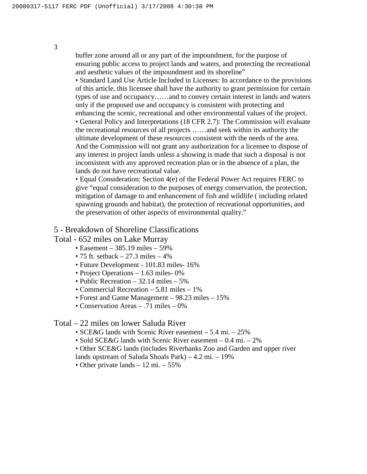buffer zone around all or any part of the impoundment, for the purpose of ensuring public access to project lands and waters, and protecting the recreational and aesthetic values of the impoundment and its shoreline"

• Standard Land Use Article Included in Licenses: In accordance to the provisions of this article, this licensee shall have the authority to grant permission for certain types of use and occupancy……and to convey certain interest in lands and waters only if the proposed use and occupancy is consistent with protecting and enhancing the scenic, recreational and other environmental values of the project. • General Policy and Interpretations (18 CFR 2.7): The Commission will evaluate the recreational resources of all projects ……and seek within its authority the ultimate development of these resources consistent with the needs of the area. And the Commission will not grant any authorization for a licensee to dispose of any interest in project lands unless a showing is made that such a disposal is not inconsistent with any approved recreation plan or in the absence of a plan, the lands do not have recreational value.

• Equal Consideration: Section 4(e) of the Federal Power Act requires FERC to give "equal consideration to the purposes of energy conservation, the protection, mitigation of damage to and enhancement of fish and wildlife ( including related spawning grounds and habitat), the protection of recreational opportunities, and the preservation of other aspects of environmental quality."

#### 5 - Breakdown of Shoreline Classifications

Total - 652 miles on Lake Murray

- Easement 385.19 miles 59%
- 75 ft. setback  $-27.3$  miles  $-4\%$
- Future Development 101.83 miles- 16%
- Project Operations 1.63 miles- 0%
- Public Recreation 32.14 miles 5%
- Commercial Recreation 5.81 miles 1%
- Forest and Game Management 98.23 miles 15%
- Conservation Areas .71 miles 0%

## Total – 22 miles on lower Saluda River

- SCE&G lands with Scenic River easement 5.4 mi. 25%
- Sold SCE&G lands with Scenic River easement 0.4 mi. 2%

• Other SCE&G lands (includes Riverbanks Zoo and Garden and upper river

- lands upstream of Saluda Shoals Park) 4.2 mi. 19%
- Other private lands 12 mi. 55%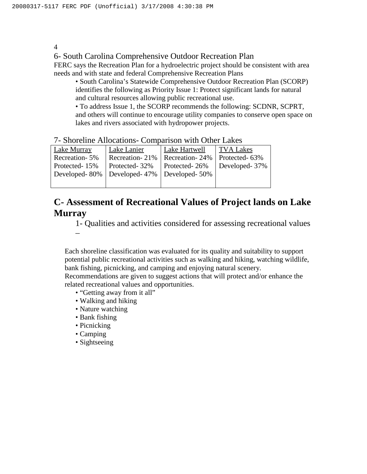6- South Carolina Comprehensive Outdoor Recreation Plan

FERC says the Recreation Plan for a hydroelectric project should be consistent with area needs and with state and federal Comprehensive Recreation Plans

• South Carolina's Statewide Comprehensive Outdoor Recreation Plan (SCORP) identifies the following as Priority Issue 1: Protect significant lands for natural and cultural resources allowing public recreational use.

• To address Issue 1, the SCORP recommends the following: SCDNR, SCPRT, and others will continue to encourage utility companies to conserve open space on lakes and rivers associated with hydropower projects.

|  | 7- Shoreline Allocations- Comparison with Other Lakes |  |  |
|--|-------------------------------------------------------|--|--|
|  |                                                       |  |  |

| Lake Murray   | Lake Lanier                                   | Lake Hartwell  | <b>TVA Lakes</b> |
|---------------|-----------------------------------------------|----------------|------------------|
| Recreation-5% | Recreation-21%                                | Recreation-24% | Protected-63%    |
| Protected-15% | Protected-32%                                 | Protected-26%  | Developed-37%    |
|               | Developed-80%   Developed-47%   Developed-50% |                |                  |
|               |                                               |                |                  |

## **C- Assessment of Recreational Values of Project lands on Lake Murray**

1- Qualities and activities considered for assessing recreational values –

Each shoreline classification was evaluated for its quality and suitability to support potential public recreational activities such as walking and hiking, watching wildlife, bank fishing, picnicking, and camping and enjoying natural scenery.

Recommendations are given to suggest actions that will protect and/or enhance the related recreational values and opportunities.

- "Getting away from it all"
- Walking and hiking
- Nature watching
- Bank fishing
- Picnicking
- Camping
- Sightseeing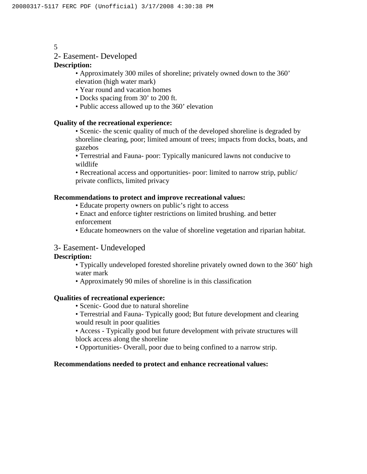#### 2- Easement- Developed

#### **Description:**

• Approximately 300 miles of shoreline; privately owned down to the 360' elevation (high water mark)

- Year round and vacation homes
- Docks spacing from 30' to 200 ft.
- Public access allowed up to the 360' elevation

#### **Quality of the recreational experience:**

• Scenic- the scenic quality of much of the developed shoreline is degraded by shoreline clearing, poor; limited amount of trees; impacts from docks, boats, and gazebos

• Terrestrial and Fauna- poor: Typically manicured lawns not conducive to wildlife

• Recreational access and opportunities- poor: limited to narrow strip, public/ private conflicts, limited privacy

#### **Recommendations to protect and improve recreational values:**

- Educate property owners on public's right to access
- Enact and enforce tighter restrictions on limited brushing. and better enforcement
- Educate homeowners on the value of shoreline vegetation and riparian habitat.

#### 3- Easement- Undeveloped

#### **Description:**

- Typically undeveloped forested shoreline privately owned down to the 360' high water mark
- Approximately 90 miles of shoreline is in this classification

#### **Qualities of recreational experience:**

- Scenic- Good due to natural shoreline
- Terrestrial and Fauna- Typically good; But future development and clearing would result in poor qualities
- Access Typically good but future development with private structures will block access along the shoreline
- Opportunities- Overall, poor due to being confined to a narrow strip.

#### **Recommendations needed to protect and enhance recreational values:**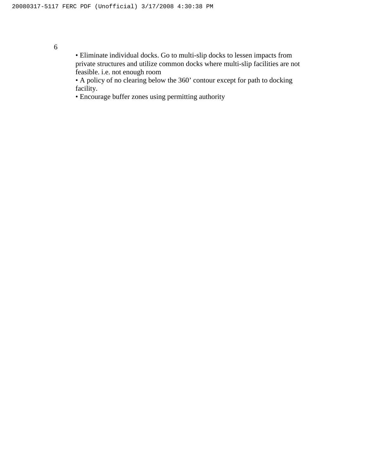• Eliminate individual docks. Go to multi-slip docks to lessen impacts from private structures and utilize common docks where multi-slip facilities are not feasible. i.e. not enough room

• A policy of no clearing below the 360' contour except for path to docking facility.

• Encourage buffer zones using permitting authority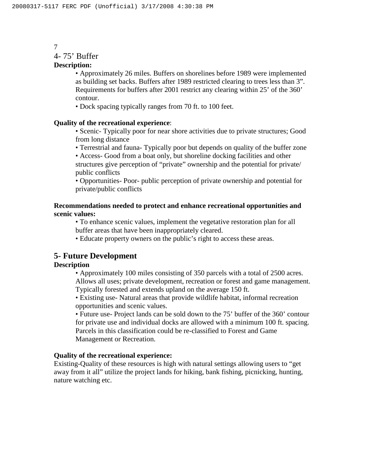#### 4- 75' Buffer

#### **Description:**

• Approximately 26 miles. Buffers on shorelines before 1989 were implemented as building set backs. Buffers after 1989 restricted clearing to trees less than 3". Requirements for buffers after 2001 restrict any clearing within 25' of the 360' contour.

• Dock spacing typically ranges from 70 ft. to 100 feet.

#### **Quality of the recreational experience**:

• Scenic- Typically poor for near shore activities due to private structures; Good from long distance

• Terrestrial and fauna- Typically poor but depends on quality of the buffer zone

• Access- Good from a boat only, but shoreline docking facilities and other structures give perception of "private" ownership and the potential for private/ public conflicts

• Opportunities- Poor- public perception of private ownership and potential for private/public conflicts

#### **Recommendations needed to protect and enhance recreational opportunities and scenic values:**

• To enhance scenic values, implement the vegetative restoration plan for all buffer areas that have been inappropriately cleared.

• Educate property owners on the public's right to access these areas.

## **5- Future Development**

#### **Description**

• Approximately 100 miles consisting of 350 parcels with a total of 2500 acres. Allows all uses; private development, recreation or forest and game management. Typically forested and extends upland on the average 150 ft.

• Existing use- Natural areas that provide wildlife habitat, informal recreation opportunities and scenic values.

• Future use- Project lands can be sold down to the 75' buffer of the 360' contour for private use and individual docks are allowed with a minimum 100 ft. spacing. Parcels in this classification could be re-classified to Forest and Game Management or Recreation.

#### **Quality of the recreational experience:**

Existing-Quality of these resources is high with natural settings allowing users to "get away from it all" utilize the project lands for hiking, bank fishing, picnicking, hunting, nature watching etc.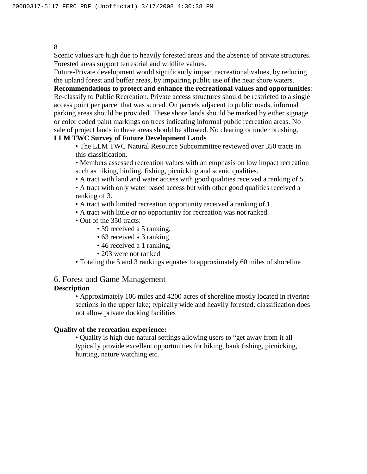Scenic values are high due to heavily forested areas and the absence of private structures. Forested areas support terrestrial and wildlife values.

Future-Private development would significantly impact recreational values, by reducing the upland forest and buffer areas, by impairing public use of the near shore waters.

**Recommendations to protect and enhance the recreational values and opportunities**: Re-classify to Public Recreation. Private access structures should be restricted to a single access point per parcel that was scored. On parcels adjacent to public roads, informal parking areas should be provided. These shore lands should be marked by either signage or color coded paint markings on trees indicating informal public recreation areas. No sale of project lands in these areas should be allowed. No clearing or under brushing.

#### **LLM TWC Survey of Future Development Lands**

• The LLM TWC Natural Resource Subcommittee reviewed over 350 tracts in this classification.

• Members assessed recreation values with an emphasis on low impact recreation such as hiking, birding, fishing, picnicking and scenic qualities.

• A tract with land and water access with good qualities received a ranking of 5.

• A tract with only water based access but with other good qualities received a ranking of 3.

- A tract with limited recreation opportunity received a ranking of 1.
- A tract with little or no opportunity for recreation was not ranked.
- Out of the 350 tracts:
	- 39 received a 5 ranking,
	- 63 received a 3 ranking
	- 46 received a 1 ranking,
	- 203 were not ranked

• Totaling the 5 and 3 rankings equates to approximately 60 miles of shoreline

# 6. Forest and Game Management

### **Description**

• Approximately 106 miles and 4200 acres of shoreline mostly located in riverine sections in the upper lake; typically wide and heavily forested; classification does not allow private docking facilities

#### **Quality of the recreation experience:**

• Quality is high due natural settings allowing users to "get away from it all typically provide excellent opportunities for hiking, bank fishing, picnicking, hunting, nature watching etc.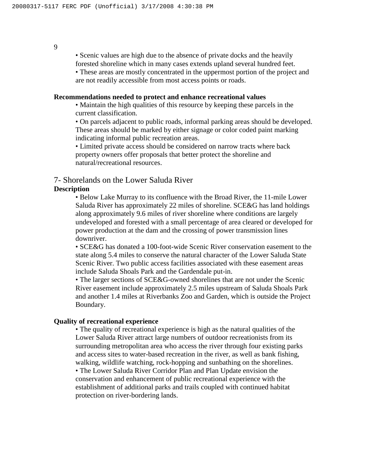• Scenic values are high due to the absence of private docks and the heavily forested shoreline which in many cases extends upland several hundred feet.

• These areas are mostly concentrated in the uppermost portion of the project and are not readily accessible from most access points or roads.

#### **Recommendations needed to protect and enhance recreational values**

• Maintain the high qualities of this resource by keeping these parcels in the current classification.

• On parcels adjacent to public roads, informal parking areas should be developed. These areas should be marked by either signage or color coded paint marking indicating informal public recreation areas.

• Limited private access should be considered on narrow tracts where back property owners offer proposals that better protect the shoreline and natural/recreational resources.

#### 7- Shorelands on the Lower Saluda River

#### **Description**

• Below Lake Murray to its confluence with the Broad River, the 11-mile Lower Saluda River has approximately 22 miles of shoreline. SCE&G has land holdings along approximately 9.6 miles of river shoreline where conditions are largely undeveloped and forested with a small percentage of area cleared or developed for power production at the dam and the crossing of power transmission lines downriver.

• SCE&G has donated a 100-foot-wide Scenic River conservation easement to the state along 5.4 miles to conserve the natural character of the Lower Saluda State Scenic River. Two public access facilities associated with these easement areas include Saluda Shoals Park and the Gardendale put-in.

• The larger sections of SCE&G-owned shorelines that are not under the Scenic River easement include approximately 2.5 miles upstream of Saluda Shoals Park and another 1.4 miles at Riverbanks Zoo and Garden, which is outside the Project Boundary.

#### **Quality of recreational experience**

• The quality of recreational experience is high as the natural qualities of the Lower Saluda River attract large numbers of outdoor recreationists from its surrounding metropolitan area who access the river through four existing parks and access sites to water-based recreation in the river, as well as bank fishing, walking, wildlife watching, rock-hopping and sunbathing on the shorelines. • The Lower Saluda River Corridor Plan and Plan Update envision the conservation and enhancement of public recreational experience with the establishment of additional parks and trails coupled with continued habitat protection on river-bordering lands.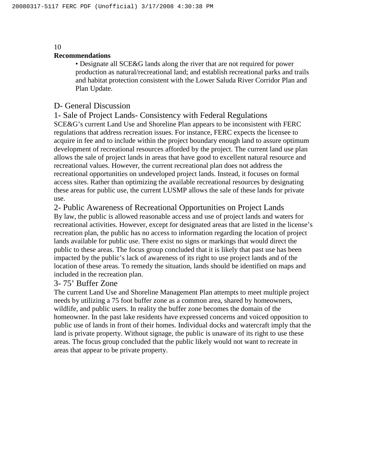#### **Recommendations**

• Designate all SCE&G lands along the river that are not required for power production as natural/recreational land; and establish recreational parks and trails and habitat protection consistent with the Lower Saluda River Corridor Plan and Plan Update.

#### D- General Discussion

1- Sale of Project Lands- Consistency with Federal Regulations SCE&G's current Land Use and Shoreline Plan appears to be inconsistent with FERC regulations that address recreation issues. For instance, FERC expects the licensee to acquire in fee and to include within the project boundary enough land to assure optimum development of recreational resources afforded by the project. The current land use plan allows the sale of project lands in areas that have good to excellent natural resource and recreational values. However, the current recreational plan does not address the recreational opportunities on undeveloped project lands. Instead, it focuses on formal access sites. Rather than optimizing the available recreational resources by designating these areas for public use, the current LUSMP allows the sale of these lands for private use.

2- Public Awareness of Recreational Opportunities on Project Lands

By law, the public is allowed reasonable access and use of project lands and waters for recreational activities. However, except for designated areas that are listed in the license's recreation plan, the public has no access to information regarding the location of project lands available for public use. There exist no signs or markings that would direct the public to these areas. The focus group concluded that it is likely that past use has been impacted by the public's lack of awareness of its right to use project lands and of the location of these areas. To remedy the situation, lands should be identified on maps and included in the recreation plan.

#### 3- 75' Buffer Zone

The current Land Use and Shoreline Management Plan attempts to meet multiple project needs by utilizing a 75 foot buffer zone as a common area, shared by homeowners, wildlife, and public users. In reality the buffer zone becomes the domain of the homeowner. In the past lake residents have expressed concerns and voiced opposition to public use of lands in front of their homes. Individual docks and watercraft imply that the land is private property. Without signage, the public is unaware of its right to use these areas. The focus group concluded that the public likely would not want to recreate in areas that appear to be private property.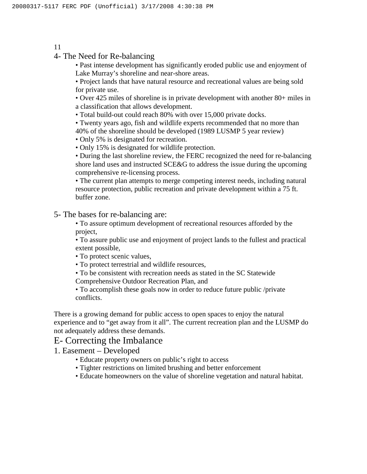4- The Need for Re-balancing

• Past intense development has significantly eroded public use and enjoyment of Lake Murray's shoreline and near-shore areas.

• Project lands that have natural resource and recreational values are being sold for private use.

• Over 425 miles of shoreline is in private development with another 80+ miles in a classification that allows development.

• Total build-out could reach 80% with over 15,000 private docks.

• Twenty years ago, fish and wildlife experts recommended that no more than 40% of the shoreline should be developed (1989 LUSMP 5 year review)

• Only 5% is designated for recreation.

• Only 15% is designated for wildlife protection.

• During the last shoreline review, the FERC recognized the need for re-balancing shore land uses and instructed SCE&G to address the issue during the upcoming comprehensive re-licensing process.

• The current plan attempts to merge competing interest needs, including natural resource protection, public recreation and private development within a 75 ft. buffer zone.

5- The bases for re-balancing are:

• To assure optimum development of recreational resources afforded by the project,

• To assure public use and enjoyment of project lands to the fullest and practical extent possible,

• To protect scenic values,

• To protect terrestrial and wildlife resources,

• To be consistent with recreation needs as stated in the SC Statewide

Comprehensive Outdoor Recreation Plan, and

• To accomplish these goals now in order to reduce future public /private conflicts.

There is a growing demand for public access to open spaces to enjoy the natural experience and to "get away from it all". The current recreation plan and the LUSMP do not adequately address these demands.

## E- Correcting the Imbalance

1. Easement – Developed

- Educate property owners on public's right to access
- Tighter restrictions on limited brushing and better enforcement

• Educate homeowners on the value of shoreline vegetation and natural habitat.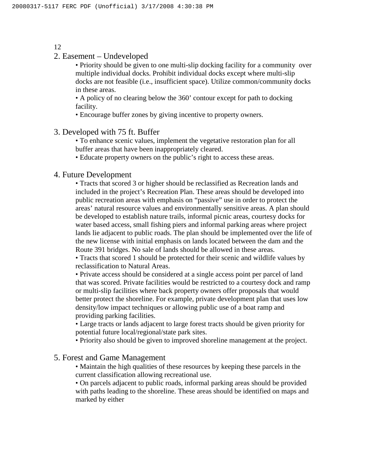2. Easement – Undeveloped

• Priority should be given to one multi-slip docking facility for a community over multiple individual docks. Prohibit individual docks except where multi-slip docks are not feasible (i.e., insufficient space). Utilize common/community docks in these areas.

• A policy of no clearing below the 360' contour except for path to docking facility.

• Encourage buffer zones by giving incentive to property owners.

3. Developed with 75 ft. Buffer

• To enhance scenic values, implement the vegetative restoration plan for all buffer areas that have been inappropriately cleared.

• Educate property owners on the public's right to access these areas.

#### 4. Future Development

• Tracts that scored 3 or higher should be reclassified as Recreation lands and included in the project's Recreation Plan. These areas should be developed into public recreation areas with emphasis on "passive" use in order to protect the areas' natural resource values and environmentally sensitive areas. A plan should be developed to establish nature trails, informal picnic areas, courtesy docks for water based access, small fishing piers and informal parking areas where project lands lie adjacent to public roads. The plan should be implemented over the life of the new license with initial emphasis on lands located between the dam and the Route 391 bridges. No sale of lands should be allowed in these areas.

• Tracts that scored 1 should be protected for their scenic and wildlife values by reclassification to Natural Areas.

• Private access should be considered at a single access point per parcel of land that was scored. Private facilities would be restricted to a courtesy dock and ramp or multi-slip facilities where back property owners offer proposals that would better protect the shoreline. For example, private development plan that uses low density/low impact techniques or allowing public use of a boat ramp and providing parking facilities.

• Large tracts or lands adjacent to large forest tracts should be given priority for potential future local/regional/state park sites.

• Priority also should be given to improved shoreline management at the project.

#### 5. Forest and Game Management

• Maintain the high qualities of these resources by keeping these parcels in the current classification allowing recreational use.

• On parcels adjacent to public roads, informal parking areas should be provided with paths leading to the shoreline. These areas should be identified on maps and marked by either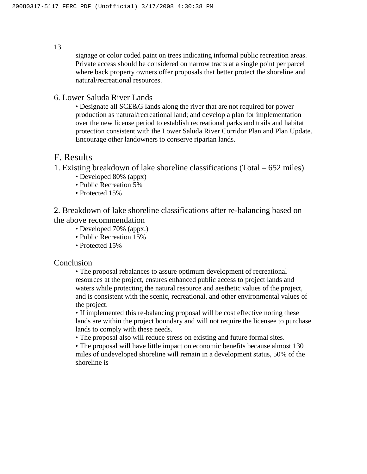signage or color coded paint on trees indicating informal public recreation areas. Private access should be considered on narrow tracts at a single point per parcel where back property owners offer proposals that better protect the shoreline and natural/recreational resources.

#### 6. Lower Saluda River Lands

• Designate all SCE&G lands along the river that are not required for power production as natural/recreational land; and develop a plan for implementation over the new license period to establish recreational parks and trails and habitat protection consistent with the Lower Saluda River Corridor Plan and Plan Update. Encourage other landowners to conserve riparian lands.

## F. Results

1. Existing breakdown of lake shoreline classifications (Total – 652 miles)

- Developed 80% (appx)
- Public Recreation 5%
- Protected 15%

2. Breakdown of lake shoreline classifications after re-balancing based on the above recommendation

- Developed 70% (appx.)
- Public Recreation 15%
- Protected 15%

#### Conclusion

• The proposal rebalances to assure optimum development of recreational resources at the project, ensures enhanced public access to project lands and waters while protecting the natural resource and aesthetic values of the project, and is consistent with the scenic, recreational, and other environmental values of the project.

• If implemented this re-balancing proposal will be cost effective noting these lands are within the project boundary and will not require the licensee to purchase lands to comply with these needs.

• The proposal also will reduce stress on existing and future formal sites.

• The proposal will have little impact on economic benefits because almost 130 miles of undeveloped shoreline will remain in a development status, 50% of the shoreline is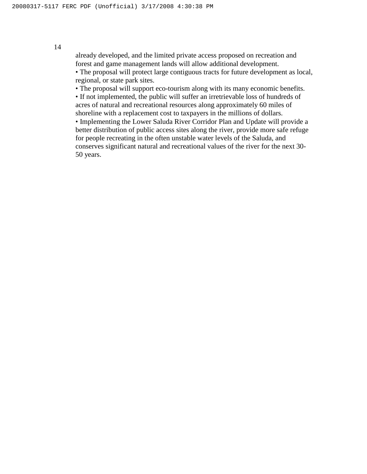already developed, and the limited private access proposed on recreation and forest and game management lands will allow additional development.

• The proposal will protect large contiguous tracts for future development as local, regional, or state park sites.

• The proposal will support eco-tourism along with its many economic benefits.

• If not implemented, the public will suffer an irretrievable loss of hundreds of acres of natural and recreational resources along approximately 60 miles of shoreline with a replacement cost to taxpayers in the millions of dollars.

• Implementing the Lower Saluda River Corridor Plan and Update will provide a better distribution of public access sites along the river, provide more safe refuge for people recreating in the often unstable water levels of the Saluda, and conserves significant natural and recreational values of the river for the next 30- 50 years.